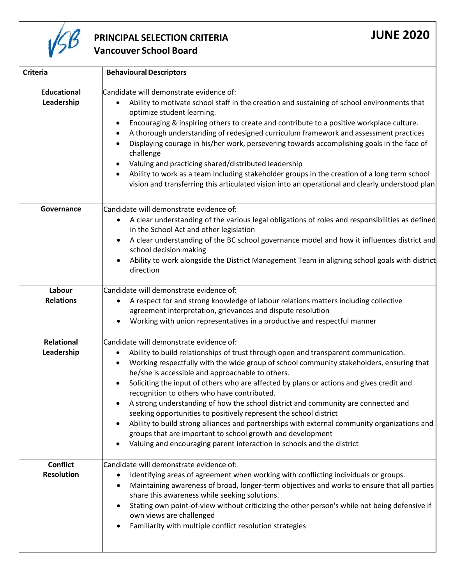

## **PRINCIPAL SELECTION CRITERIA Vancouver School Board**

| <b>Criteria</b>                      | <b>Behavioural Descriptors</b>                                                                                                                                                                                                                                                                                                                                                                                                                                                                                                                                                                                                                                                                                                                                                                                              |
|--------------------------------------|-----------------------------------------------------------------------------------------------------------------------------------------------------------------------------------------------------------------------------------------------------------------------------------------------------------------------------------------------------------------------------------------------------------------------------------------------------------------------------------------------------------------------------------------------------------------------------------------------------------------------------------------------------------------------------------------------------------------------------------------------------------------------------------------------------------------------------|
| <b>Educational</b><br>Leadership     | Candidate will demonstrate evidence of:<br>Ability to motivate school staff in the creation and sustaining of school environments that<br>$\bullet$<br>optimize student learning.<br>Encouraging & inspiring others to create and contribute to a positive workplace culture.<br>A thorough understanding of redesigned curriculum framework and assessment practices<br>Displaying courage in his/her work, persevering towards accomplishing goals in the face of<br>challenge<br>Valuing and practicing shared/distributed leadership<br>Ability to work as a team including stakeholder groups in the creation of a long term school<br>vision and transferring this articulated vision into an operational and clearly understood plan                                                                                 |
| Governance                           | Candidate will demonstrate evidence of:<br>A clear understanding of the various legal obligations of roles and responsibilities as defined<br>in the School Act and other legislation<br>A clear understanding of the BC school governance model and how it influences district and<br>school decision making<br>Ability to work alongside the District Management Team in aligning school goals with district<br>direction                                                                                                                                                                                                                                                                                                                                                                                                 |
| Labour<br><b>Relations</b>           | Candidate will demonstrate evidence of:<br>A respect for and strong knowledge of labour relations matters including collective<br>agreement interpretation, grievances and dispute resolution<br>Working with union representatives in a productive and respectful manner                                                                                                                                                                                                                                                                                                                                                                                                                                                                                                                                                   |
| Relational<br>Leadership             | Candidate will demonstrate evidence of:<br>Ability to build relationships of trust through open and transparent communication.<br>Working respectfully with the wide group of school community stakeholders, ensuring that<br>he/she is accessible and approachable to others.<br>Soliciting the input of others who are affected by plans or actions and gives credit and<br>recognition to others who have contributed.<br>A strong understanding of how the school district and community are connected and<br>seeking opportunities to positively represent the school district<br>Ability to build strong alliances and partnerships with external community organizations and<br>groups that are important to school growth and development<br>Valuing and encouraging parent interaction in schools and the district |
| <b>Conflict</b><br><b>Resolution</b> | Candidate will demonstrate evidence of:<br>Identifying areas of agreement when working with conflicting individuals or groups.<br>٠<br>Maintaining awareness of broad, longer-term objectives and works to ensure that all parties<br>share this awareness while seeking solutions.<br>Stating own point-of-view without criticizing the other person's while not being defensive if<br>own views are challenged<br>Familiarity with multiple conflict resolution strategies                                                                                                                                                                                                                                                                                                                                                |